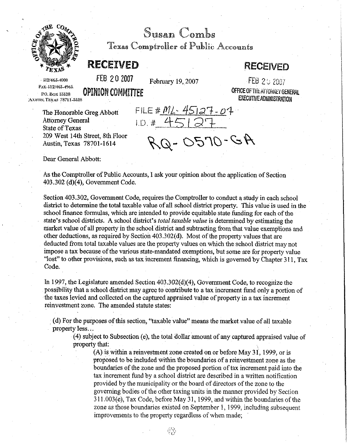

Susan Combs

Texas Comptroller of Public Accounts

## **RECEIVED RECEIVED**

**6121463-4000** FEB 2 **2007** February 19,2007 FEE 2 1; 2537

**EXECUTIVE ADMINISTRATION** 

**Fa: 5121463-4963**  p.o. Box 13528 **OPINION COMMITTEE COMMETTION COMMITTEE OFFICE OF THE ATTORNEY GENERAL AUSTIN, TEXAS 78711-3528** 

Dear General Abbott:

The Honorable Greg Abbott FILE  $# M \angle - 45127 - 04$ <br>Attorney General 1.D  $# 45127 +$ Attorney General State of Texas 209 West 14th Street, 8th Floor<br>Austin, Texas 78701-1614

 $P_{Q}$ -0570-GA

As the Comptroller of Public Accounts, I ask your opinion about the application of Section 403.302 (d)(4), Government Code.

Section 403.302, Government Code, requires the Comptroller to conduct a study in each school district to determine the total taxable value of all school district property. This value is used in the school finance formulas, which are intended to provide equitable state funding for each of the state's school districts. A school district's *total taxable value* is determined by estimating the market value of all property in the school district and subtracting from that value exemptions and other deductions, as required by Section 403.302(d). Most of the property values that are deducted from total taxable values are the property values on which the school district may not impose a tax because of the various state-mandated exemptions, but some are for property value "lost" to other provisions, such as tax increment financing, which is governed by Chapter 311, Tax Code.

In 1997, the Legislature amended Section 403.302(d)(4), Government Code, to recognize the possibility that a school district may agree to contribute to a tax increment fund only a portion of the taxes levied and collected on the captured appraised value of property in a tax increment reinvestment zone. The amended statute states:

(d) For the purposes of this section, "taxable value" means the market value of all taxable property less.. .

(4) subject to Subsection (e), the total dollar amount of any captured appraised value of property that:

**(A)** is within a reinvestment zone created on or before May 3 1, 1999, or is proposed to be included within the boundaries of a reinvestment zone as the boundaries of the zone and the proposed portion of tax increment paid into the tax increment fund by a school district are described in a written notification provided by the municipality or the board of directors of the zone to the governing bodies of the other taxing units in the manner provided by Section 3 11.003(e), Tax Code, before May 31, 1999, and within the boundaries of the zone as those boundaries existed on September 1,1999, including subsequent improvements to the property regardless of when made;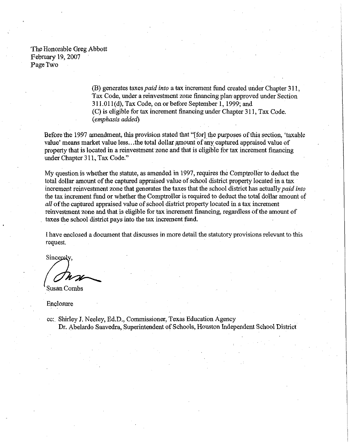The Honorable Greg Abbott February 19,2007 Page Two

> (B) generates taxespaid *into* a tax increment fund created under Chapter **3** 11, Tax Code, under a reinvestment zone financing plan approved under Section 311.01 1(d), Tax Code, on or before September 1,1999; and (C) is eligible for tax increment financing under Chapter 3 11, Tax Code. (emphasis added)

Before the 1997 amendment, this provision stated that "[for] the purposes of this section, 'taxable value' means market value less...the total dollar amount of any captured appraised value of property that is located in a reinvestment zone and that is eligible for tax increment financing under Chapter **3** 11, Tax Code."

My question is whether the statute, as amended in 1997, requires the Comptroller to deduct the total dollar amount of the captured appraised value of school district property located in a tax increment reinvestment zone that generates the taxes that the school district has actually paid into the tax increment fund or whether the Comptroller is required to deduct the total dollar amount of all of the captured appraised value of school district property located in a tax increment reinvestment zone and that is eligible for tax increment financing, regardless of the amount of taxes the school district pays into the tax increment fund.

I have enclosed a document that discusses in more detail the statutory provisions relevant to this request.

Sincerely.

**Susan Combs** 

Enclosure

cc: Shirley **J.** Neeley, Ed.D., Commissioner, Texas Education Agency Dr. Abelardo Saavedra, Superintendent of Schools, Houston Independent School District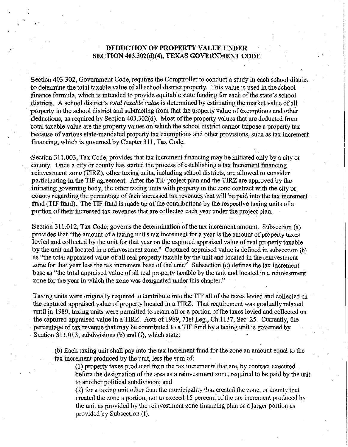## **DEDUCTION OF PROPERTY VALUE UNDER SECTION** 403.302(d)(4), **TEXAS GOVERNMENT CODE**

Section 403.302, Government Code, requires the Comptroller to conduct a study in each school district to determine the total taxable value of all school district property. This value is used in the school finance formula, which is intended to provide equitable state funding for each of the state's school districts. A school district's *total taxable value* is determined by estimating the market value of all property in the school district and subtracting from that the property value of exemptions and other deductions, as required by Section 403.302(d). Most of the property values that are deducted from total taxable value are the property values on which the school district cannot impose a property tax because of various state-mandated property tax exemptions and other provisions, such as tax increment financing, which is governed by Chapter 311, Tax Code.

Section 311.003, Tax Code, provides that tax increment financing may be initiated only by a city or county. Once a city or county has started the process of establishing a tax increment financing reinvestment zone (TIRZ), other taxing units, including school districts, are allowed to consider participating in the TIF agreement. After the TIF project plan and the TIRZ are approved by the initiating governing body, the other taxing units with property in the zone contract with the city or county regarding the percentage of their increased tax revenues that will be paid into the tax increment fund (TIF fund). The TIF fund is made up of the contributions by the respective taxing units of a portion of their increased tax revenues that are collected each year under the project plan.

Section 311.012, Tax Code, governs the determination of the tax increment amount. Subsection (a) provides that "the amount of a taxing unit's tax increment for a year is the amount of property taxes levied and collected by the unit for that year on the captured appraised value of real property taxable by the unit and located in a reinvestment zone." Captured appraised value is defined in subsection (b) as "the total appraised value of all real property taxable by the unit and located in the reinvestment zone for that year less the tax increment base of the unit." Subsection (c) defines the tax increment base as "the total appraised value of all real property taxable by the unit and located in a reinvestment zone for the year in which the zone was designated under this chapter."

Taxing units were originally required to contribute into the TIF all of the taxes levied and collected on the captured appraised value of property located in a TIRZ. That requirement was gradually relaxed until in 1989, taxing units were permitted to retain all or a portion of the taxes levied and collected on the captured appraised value in a TIRZ. Acts of 1989,71st Leg., Ch.1137, Sec. 25. Currently, the percentage of tax revenue that may be contributed to a TIF fund by a taxing unit is governed by Section 311.013, subdivisions (b) and (f), which state:

(b) Each taxing unit shall pay into the tax increment fund for the zone an amount equal to the tax increment produced by the unit, less the sum of:

(1) property taxes produced from the tax increments that are, by contract executed before the designation of the area as a reinvestment zone, required to be paid by the unit to another political subdivision; and

(2) for a taxing unit other than the municipality that created the zone, or county that created the zone a portion, not to exceed 15 percent, of the tax increment produced by the unit as provided by the reinvestment zone financing plan or a larger portion as provided by Subsection **(f).**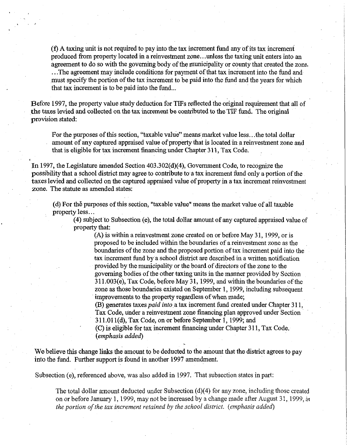$(f)$  A taxing unit is not required to pay into the tax increment fund any of its tax increment produced from property located in a reinvestment zone.. .unless the taxing unit enters into an agreement to do so with the governing body of the municipality or county that created the zone. . . .The agreement may include conditions for payment of that tax increment into the fund and

must specify the portion of the tax increment to be paid into the fund and the years for which that tax increment is to be paid into the fund...

Before 1997, the property value study deduction for TIFs reflected the original requirement that all of the taxes levied and collected on the tax increment be contributed to the TIF fund. The original provision stated:

For the purposes of this section, "taxable value" means market value less.. .the total dollar amount of any captured appraised value of property that is located in a reinvestment zone and that is eligible for tax increment financing under Chapter 31 1, Tax Code.

In 1997, the Legislature amended Section 403.302(d)(4), Government Code, to recognize the possibility that a school district may agree to contribute to a tax increment fund only a portion of the taxes levied and collected on the captured appraised value of property in a tax increment reinvestment zone. The statute as amended states:

(d) For th6 purposes of this section, "taxable value" means the market value of all taxable property less.. .

(4) subject to Subsection (e), the total dollar amount of any captured appraised value of property that:

(A) is within a reinvestment zone created on or before May 31, 1999, or is proposed to be included within the boundaries of a reinvestment zone as the boundaries of the zone and the proposed portion of tax increment paid into the tax increment fund by a school district are described in a written notification provided by the municipality or the board of directors of the zone to the governing bodies of the other taxing units in the manner provided by Section 31 1.003(e), Tax Code, before May 3 1,1999, and within the boundaries of the zone as those boundaries existed on September 1, 1999, including subsequent improvements to the property regardless of when made;

(B) generates taxes *paid into* a tax increment fund created under Chapter 311, Tax Code, under a reinvestment zone financing plan approved under Section 31 1.01 l(d), Tax Code, on or before September 1, 1999; and

(C) is eligible for tax increment financing under Chapter 3 11, Tax Code. (emphasis added)

We believe this change links the amount to be deducted to the amount that the district agrees to pay into the fund. Further support is found in another 1997 amendment.

Subsection (e), referenced above, was also added in 1997. That subsection states in part:

The total dollar amount deducted under Subsection (d)(4) for any zone, including those created on or before January 1, 1999, may not be increased by a change made after August 31, 1999, in *the portion of the tax increment retained by the school district. (emphasis added)*